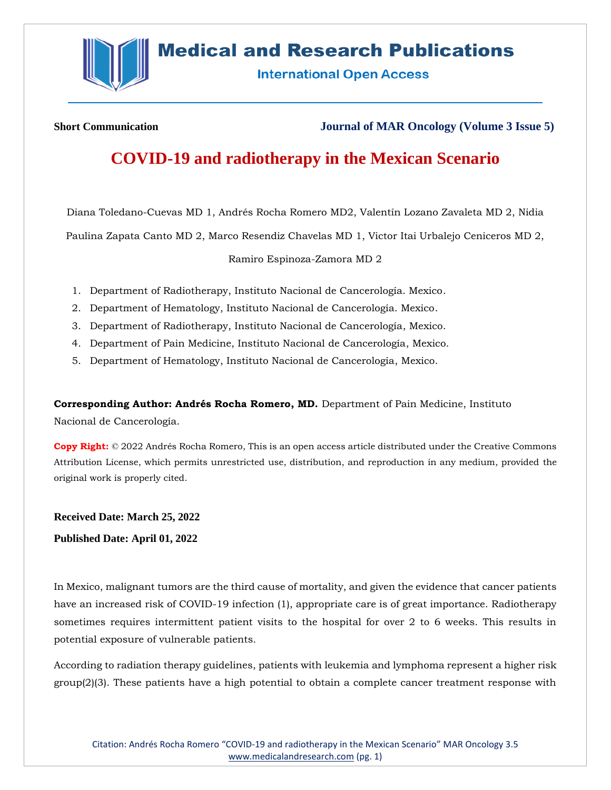

# **Medical and Research Publications**

**International Open Access** 

**Short Communication Journal of MAR Oncology (Volume 3 Issue 5)**

# **COVID-19 and radiotherapy in the Mexican Scenario**

Diana Toledano-Cuevas MD 1, Andrés Rocha Romero MD2, Valentín Lozano Zavaleta MD 2, Nidia

Paulina Zapata Canto MD 2, Marco Resendiz Chavelas MD 1, Victor Itai Urbalejo Ceniceros MD 2,

Ramiro Espinoza-Zamora MD 2

- 1. Department of Radiotherapy, Instituto Nacional de Cancerología. Mexico.
- 2. Department of Hematology, Instituto Nacional de Cancerología. Mexico.
- 3. Department of Radiotherapy, Instituto Nacional de Cancerología, Mexico.
- 4. Department of Pain Medicine, Instituto Nacional de Cancerología, Mexico.
- 5. Department of Hematology, Instituto Nacional de Cancerología, Mexico.

**Corresponding Author: Andrés Rocha Romero, MD.** Department of Pain Medicine, Instituto Nacional de Cancerología.

**Copy Right:** © 2022 Andrés Rocha Romero, This is an open access article distributed under the Creative Commons Attribution License, which permits unrestricted use, distribution, and reproduction in any medium, provided the original work is properly cited.

**Received Date: March 25, 2022**

**Published Date: April 01, 2022**

In Mexico, malignant tumors are the third cause of mortality, and given the evidence that cancer patients have an increased risk of COVID-19 infection (1), appropriate care is of great importance. Radiotherapy sometimes requires intermittent patient visits to the hospital for over 2 to 6 weeks. This results in potential exposure of vulnerable patients.

According to radiation therapy guidelines, patients with leukemia and lymphoma represent a higher risk group(2)(3). These patients have a high potential to obtain a complete cancer treatment response with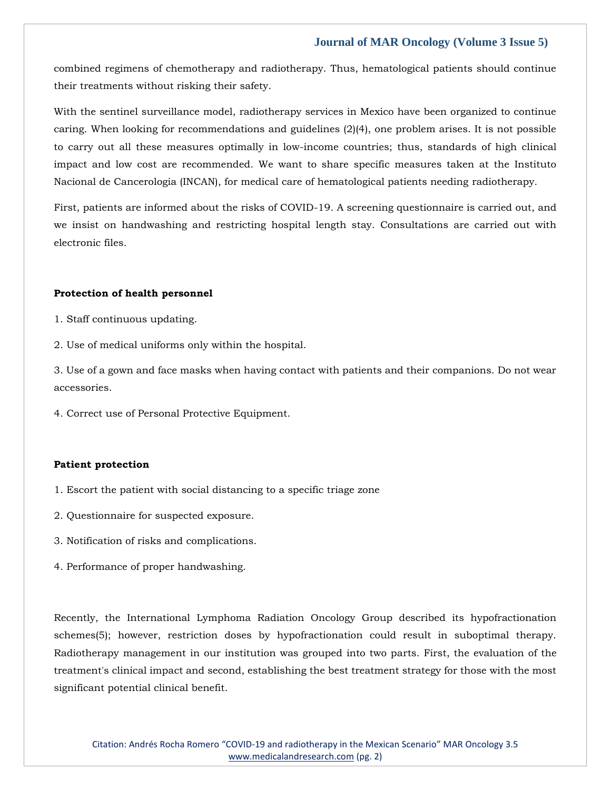# **Journal of MAR Oncology (Volume 3 Issue 5)**

combined regimens of chemotherapy and radiotherapy. Thus, hematological patients should continue their treatments without risking their safety.

With the sentinel surveillance model, radiotherapy services in Mexico have been organized to continue caring. When looking for recommendations and guidelines (2)(4), one problem arises. It is not possible to carry out all these measures optimally in low-income countries; thus, standards of high clinical impact and low cost are recommended. We want to share specific measures taken at the Instituto Nacional de Cancerologia (INCAN), for medical care of hematological patients needing radiotherapy.

First, patients are informed about the risks of COVID-19. A screening questionnaire is carried out, and we insist on handwashing and restricting hospital length stay. Consultations are carried out with electronic files.

### **Protection of health personnel**

- 1. Staff continuous updating.
- 2. Use of medical uniforms only within the hospital.

3. Use of a gown and face masks when having contact with patients and their companions. Do not wear accessories.

4. Correct use of Personal Protective Equipment.

### **Patient protection**

- 1. Escort the patient with social distancing to a specific triage zone
- 2. Questionnaire for suspected exposure.
- 3. Notification of risks and complications.
- 4. Performance of proper handwashing.

Recently, the International Lymphoma Radiation Oncology Group described its hypofractionation schemes(5); however, restriction doses by hypofractionation could result in suboptimal therapy. Radiotherapy management in our institution was grouped into two parts. First, the evaluation of the treatment's clinical impact and second, establishing the best treatment strategy for those with the most significant potential clinical benefit.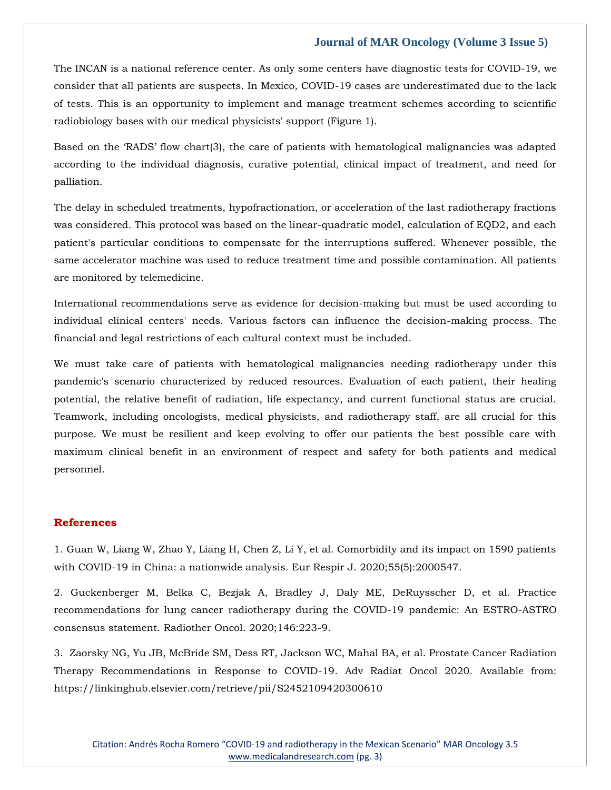## **Journal of MAR Oncology (Volume 3 Issue 5)**

The INCAN is a national reference center. As only some centers have diagnostic tests for COVID-19, we consider that all patients are suspects. In Mexico, COVID-19 cases are underestimated due to the lack of tests. This is an opportunity to implement and manage treatment schemes according to scientific radiobiology bases with our medical physicists' support (Figure 1).

Based on the 'RADS' flow chart(3), the care of patients with hematological malignancies was adapted according to the individual diagnosis, curative potential, clinical impact of treatment, and need for palliation.

The delay in scheduled treatments, hypofractionation, or acceleration of the last radiotherapy fractions was considered. This protocol was based on the linear-quadratic model, calculation of EQD2, and each patient's particular conditions to compensate for the interruptions suffered. Whenever possible, the same accelerator machine was used to reduce treatment time and possible contamination. All patients are monitored by telemedicine.

International recommendations serve as evidence for decision-making but must be used according to individual clinical centers' needs. Various factors can influence the decision-making process. The financial and legal restrictions of each cultural context must be included.

We must take care of patients with hematological malignancies needing radiotherapy under this pandemic's scenario characterized by reduced resources. Evaluation of each patient, their healing potential, the relative benefit of radiation, life expectancy, and current functional status are crucial. Teamwork, including oncologists, medical physicists, and radiotherapy staff, are all crucial for this purpose. We must be resilient and keep evolving to offer our patients the best possible care with maximum clinical benefit in an environment of respect and safety for both patients and medical personnel.

## **References**

[1. Guan W, Liang W, Zhao Y, Liang H, Chen Z, Li Y, et al. Comorbidity and its impact on 1590 patients](https://www.google.com/search?q=Comorbidity+and+its+impact+on+1590+patients+with+COVID-19+in+China%3A+a+nationwide+analysis&oq=Comorbidity+and+its+impact+on+1590+patients+with+COVID-19+in+China%3A+a+nationwide+analysis&aqs=chrome..69i57.844j0j7&sourceid=chrome&ie=UTF-8)  [with COVID-19 in China: a nationwide analysis. Eur Respir J. 2020;55\(5\):2000547.](https://www.google.com/search?q=Comorbidity+and+its+impact+on+1590+patients+with+COVID-19+in+China%3A+a+nationwide+analysis&oq=Comorbidity+and+its+impact+on+1590+patients+with+COVID-19+in+China%3A+a+nationwide+analysis&aqs=chrome..69i57.844j0j7&sourceid=chrome&ie=UTF-8)

[2. Guckenberger M, Belka C, Bezjak A, Bradley J, Daly ME, DeRuysscher D, et al. Practice](https://www.google.com/search?q=Practice+recommendations+for+lung+cancer+radiotherapy+during+the+COVID-19+pandemic%3A+An+ESTRO-ASTRO+consensus+statement&sxsrf=APq-WBsXIBnKXDBppv_-hWXiINj3Wknhtw%3A1648897200264&ei=sCxIYtfbD92c4-EPzqaxwAw&ved=0ahUKEwjX85HfnPX2AhVdzjgGHU5TDMgQ4dUDCA4&oq=Practice+recommendations+for+lung+cancer+radiotherapy+during+the+COVID-19+pandemic%3A+An+ESTRO-ASTRO+consensus+statement&gs_lcp=Cgdnd3Mtd2l6EAwyBwgjEOoCECcyBwgjEOoCECcyBwgjEOoCECcyBwgjEOoCECcyBwgjEOoCECcyBwgjEOoCECcyBwgjEOoCECcyBwgjEOoCECcyBwgjEOoCECcyBwgjEOoCECdKBAhBGABKBAhGGABQzANYzANg_QpoAXABeACAAQCIAQCSAQCYAQCgAQGgAQKwAQrAAQE&sclient=gws-wiz)  [recommendations for lung cancer radiotherapy during the COVID-19 pandemic: An ESTRO-ASTRO](https://www.google.com/search?q=Practice+recommendations+for+lung+cancer+radiotherapy+during+the+COVID-19+pandemic%3A+An+ESTRO-ASTRO+consensus+statement&sxsrf=APq-WBsXIBnKXDBppv_-hWXiINj3Wknhtw%3A1648897200264&ei=sCxIYtfbD92c4-EPzqaxwAw&ved=0ahUKEwjX85HfnPX2AhVdzjgGHU5TDMgQ4dUDCA4&oq=Practice+recommendations+for+lung+cancer+radiotherapy+during+the+COVID-19+pandemic%3A+An+ESTRO-ASTRO+consensus+statement&gs_lcp=Cgdnd3Mtd2l6EAwyBwgjEOoCECcyBwgjEOoCECcyBwgjEOoCECcyBwgjEOoCECcyBwgjEOoCECcyBwgjEOoCECcyBwgjEOoCECcyBwgjEOoCECcyBwgjEOoCECcyBwgjEOoCECdKBAhBGABKBAhGGABQzANYzANg_QpoAXABeACAAQCIAQCSAQCYAQCgAQGgAQKwAQrAAQE&sclient=gws-wiz)  [consensus statement. Radiother Oncol. 2020;146:223-9.](https://www.google.com/search?q=Practice+recommendations+for+lung+cancer+radiotherapy+during+the+COVID-19+pandemic%3A+An+ESTRO-ASTRO+consensus+statement&sxsrf=APq-WBsXIBnKXDBppv_-hWXiINj3Wknhtw%3A1648897200264&ei=sCxIYtfbD92c4-EPzqaxwAw&ved=0ahUKEwjX85HfnPX2AhVdzjgGHU5TDMgQ4dUDCA4&oq=Practice+recommendations+for+lung+cancer+radiotherapy+during+the+COVID-19+pandemic%3A+An+ESTRO-ASTRO+consensus+statement&gs_lcp=Cgdnd3Mtd2l6EAwyBwgjEOoCECcyBwgjEOoCECcyBwgjEOoCECcyBwgjEOoCECcyBwgjEOoCECcyBwgjEOoCECcyBwgjEOoCECcyBwgjEOoCECcyBwgjEOoCECcyBwgjEOoCECdKBAhBGABKBAhGGABQzANYzANg_QpoAXABeACAAQCIAQCSAQCYAQCgAQGgAQKwAQrAAQE&sclient=gws-wiz)

3. Zaorsky NG, Yu JB, McBride SM, Dess RT, [Jackson WC, Mahal BA, et al. Prostate Cancer Radiation](file:///C:/Users/Arief%20Mahimudh/Desktop/MARCH%20Proofs/OY/3.%20%20Zaorsky%20NG,%20Yu%20JB,%20McBride%20SM,%20Dess%20RT,%20Jackson%20WC,%20Mahal%20BA,%20et%20al.%20Prostate%20Cancer%20Radiation%20Therapy%20Recommendations%20in%20Response%20to%20COVID-19.%20Adv%20Radiat%20Oncol%202020.%20Available%20from:%20https:/linkinghub.elsevier.com/retrieve/pii/S2452109420300610)  [Therapy Recommendations in Response to COVID-19. Adv Radiat Oncol 2020. Available from:](file:///C:/Users/Arief%20Mahimudh/Desktop/MARCH%20Proofs/OY/3.%20%20Zaorsky%20NG,%20Yu%20JB,%20McBride%20SM,%20Dess%20RT,%20Jackson%20WC,%20Mahal%20BA,%20et%20al.%20Prostate%20Cancer%20Radiation%20Therapy%20Recommendations%20in%20Response%20to%20COVID-19.%20Adv%20Radiat%20Oncol%202020.%20Available%20from:%20https:/linkinghub.elsevier.com/retrieve/pii/S2452109420300610)  [https://linkinghub.elsevier.com/retrieve/pii/S2452109420300610](file:///C:/Users/Arief%20Mahimudh/Desktop/MARCH%20Proofs/OY/3.%20%20Zaorsky%20NG,%20Yu%20JB,%20McBride%20SM,%20Dess%20RT,%20Jackson%20WC,%20Mahal%20BA,%20et%20al.%20Prostate%20Cancer%20Radiation%20Therapy%20Recommendations%20in%20Response%20to%20COVID-19.%20Adv%20Radiat%20Oncol%202020.%20Available%20from:%20https:/linkinghub.elsevier.com/retrieve/pii/S2452109420300610)